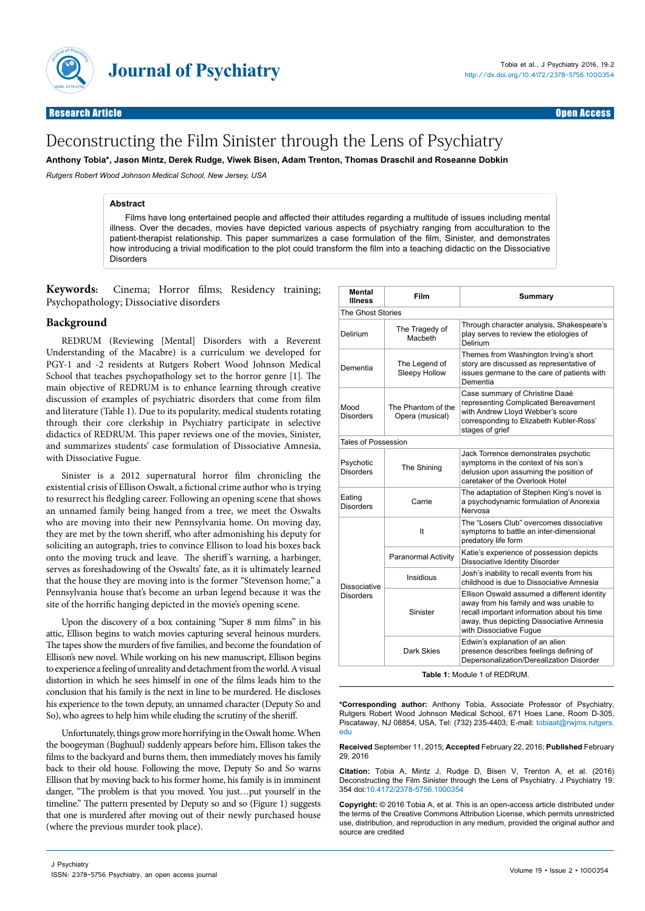

# Deconstructing the Film Sinister through the Lens of Psychiatry

**Anthony Tobia\*, Jason Mintz, Derek Rudge, Viwek Bisen, Adam Trenton, Thomas Draschil and Roseanne Dobkin**

*Rutgers Robert Wood Johnson Medical School, New Jersey, USA*

#### **Abstract**

Films have long entertained people and affected their attitudes regarding a multitude of issues including mental illness. Over the decades, movies have depicted various aspects of psychiatry ranging from acculturation to the patient-therapist relationship. This paper summarizes a case formulation of the film, Sinister, and demonstrates how introducing a trivial modification to the plot could transform the film into a teaching didactic on the Dissociative Disorders

**Keywords:** Cinema; Horror films; Residency training; Psychopathology; Dissociative disorders

### **Background**

REDRUM (Reviewing [Mental] Disorders with a Reverent Understanding of the Macabre) is a curriculum we developed for PGY-1 and -2 residents at Rutgers Robert Wood Johnson Medical School that teaches psychopathology set to the horror genre [1]. The main objective of REDRUM is to enhance learning through creative discussion of examples of psychiatric disorders that come from film and literature (Table 1). Due to its popularity, medical students rotating through their core clerkship in Psychiatry participate in selective didactics of REDRUM. This paper reviews one of the movies, Sinister, and summarizes students' case formulation of Dissociative Amnesia, with Dissociative Fugue.

Sinister is a 2012 supernatural horror film chronicling the existential crisis of Ellison Oswalt, a fictional crime author who is trying to resurrect his fledgling career. Following an opening scene that shows an unnamed family being hanged from a tree, we meet the Oswalts who are moving into their new Pennsylvania home. On moving day, they are met by the town sheriff, who after admonishing his deputy for soliciting an autograph, tries to convince Ellison to load his boxes back onto the moving truck and leave. The sheriff 's warning, a harbinger, serves as foreshadowing of the Oswalts' fate, as it is ultimately learned that the house they are moving into is the former "Stevenson home;" a Pennsylvania house that's become an urban legend because it was the site of the horrific hanging depicted in the movie's opening scene.

Upon the discovery of a box containing "Super 8 mm films" in his attic, Ellison begins to watch movies capturing several heinous murders. The tapes show the murders of five families, and become the foundation of Ellison's new novel. While working on his new manuscript, Ellison begins to experience a feeling of unreality and detachment from the world. A visual distortion in which he sees himself in one of the films leads him to the conclusion that his family is the next in line to be murdered. He discloses his experience to the town deputy, an unnamed character (Deputy So and So), who agrees to help him while eluding the scrutiny of the sheriff.

Unfortunately, things grow more horrifying in the Oswalt home. When the boogeyman (Bughuul) suddenly appears before him, Ellison takes the films to the backyard and burns them, then immediately moves his family back to their old house. Following the move, Deputy So and So warns Ellison that by moving back to his former home, his family is in imminent danger, "The problem is that you moved. You just…put yourself in the timeline." The pattern presented by Deputy so and so (Figure 1) suggests that one is murdered after moving out of their newly purchased house (where the previous murder took place).

| Mental<br><b>Illness</b>                | Film                                  | Summary                                                                                                                                                                                                      |
|-----------------------------------------|---------------------------------------|--------------------------------------------------------------------------------------------------------------------------------------------------------------------------------------------------------------|
| <b>The Ghost Stories</b>                |                                       |                                                                                                                                                                                                              |
| Delirium                                | The Tragedy of<br>Macbeth             | Through character analysis, Shakespeare's<br>play serves to review the etiologies of<br>Delirium                                                                                                             |
| Dementia                                | The Legend of<br>Sleepy Hollow        | Themes from Washington Irving's short<br>story are discussed as representative of<br>issues germane to the care of patients with<br>Dementia                                                                 |
| Mood<br><b>Disorders</b>                | The Phantom of the<br>Opera (musical) | Case summary of Christine Daaé<br>representing Complicated Bereavement<br>with Andrew Lloyd Webber's score<br>corresponding to Elizabeth Kubler-Ross'<br>stages of grief                                     |
| Tales of Possession                     |                                       |                                                                                                                                                                                                              |
| Psychotic<br><b>Disorders</b>           | The Shining                           | Jack Torrence demonstrates psychotic<br>symptoms in the context of his son's<br>delusion upon assuming the position of<br>caretaker of the Overlook Hotel                                                    |
| Eating<br><b>Disorders</b>              | Carrie                                | The adaptation of Stephen King's novel is<br>a psychodynamic formulation of Anorexia<br>Nervosa                                                                                                              |
| <b>Dissociative</b><br><b>Disorders</b> | It                                    | The "Losers Club" overcomes dissociative<br>symptoms to battle an inter-dimensional<br>predatory life form                                                                                                   |
|                                         | Paranormal Activity                   | Katie's experience of possession depicts<br><b>Dissociative Identity Disorder</b>                                                                                                                            |
|                                         | Insidious                             | Josh's inability to recall events from his<br>childhood is due to Dissociative Amnesia                                                                                                                       |
|                                         | Sinister                              | Ellison Oswald assumed a different identity<br>away from his family and was unable to<br>recall important information about his time<br>away, thus depicting Dissociative Amnesia<br>with Dissociative Fugue |
|                                         | Dark Skies                            | Edwin's explanation of an alien<br>presence describes feelings defining of<br>Depersonalization/Derealization Disorder                                                                                       |

**\*Corresponding author:** Anthony Tobia, Associate Professor of Psychiatry, Rutgers Robert Wood Johnson Medical School, 671 Hoes Lane, Room D-305, Piscataway, NJ 08854, USA, Tel: (732) 235-4403; E-mail: tobiaat@rwjms.rutgers. edu

**Received** September 11, 2015; **Accepted** February 22, 2016; **Published** February 29, 2016

**Citation:** Tobia A, Mintz J, Rudge D, Bisen V, Trenton A, et al. (2016) Deconstructing the Film Sinister through the Lens of Psychiatry. J Psychiatry 19: 354 doi[:10.4172/2378-5756.10003](http://dx.doi.org/10.4172/2378-5756.1000354)54

**Copyright:** © 2016 Tobia A, et al. This is an open-access article distributed under the terms of the Creative Commons Attribution License, which permits unrestricted use, distribution, and reproduction in any medium, provided the original author and source are credited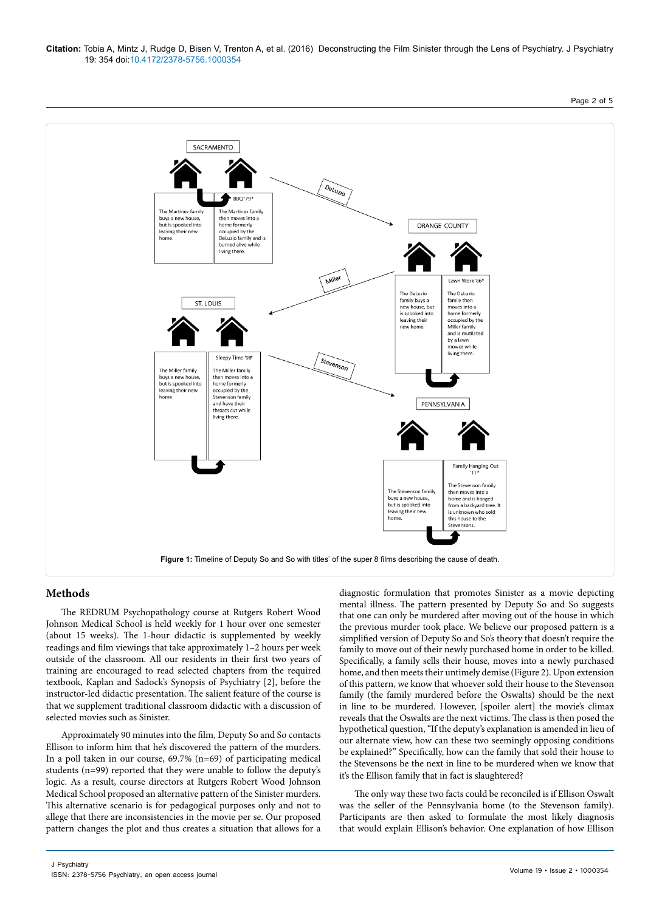**Citation:** Tobia A, Mintz J, Rudge D, Bisen V, Trenton A, et al. (2016) Deconstructing the Film Sinister through the Lens of Psychiatry. J Psychiatry 19: 354 doi:[10.4172/2378-5756.100035](http://dx.doi.org/10.4172/2378-5756.1000354)4

Page 2 of 5



## **Methods**

The REDRUM Psychopathology course at Rutgers Robert Wood Johnson Medical School is held weekly for 1 hour over one semester (about 15 weeks). The 1-hour didactic is supplemented by weekly readings and film viewings that take approximately 1–2 hours per week outside of the classroom. All our residents in their first two years of training are encouraged to read selected chapters from the required textbook, Kaplan and Sadock's Synopsis of Psychiatry [2], before the instructor-led didactic presentation. The salient feature of the course is that we supplement traditional classroom didactic with a discussion of selected movies such as Sinister.

Approximately 90 minutes into the film, Deputy So and So contacts Ellison to inform him that he's discovered the pattern of the murders. In a poll taken in our course, 69.7% (n=69) of participating medical students (n=99) reported that they were unable to follow the deputy's logic. As a result, course directors at Rutgers Robert Wood Johnson Medical School proposed an alternative pattern of the Sinister murders. This alternative scenario is for pedagogical purposes only and not to allege that there are inconsistencies in the movie per se. Our proposed pattern changes the plot and thus creates a situation that allows for a

diagnostic formulation that promotes Sinister as a movie depicting mental illness. The pattern presented by Deputy So and So suggests that one can only be murdered after moving out of the house in which the previous murder took place. We believe our proposed pattern is a simplified version of Deputy So and So's theory that doesn't require the family to move out of their newly purchased home in order to be killed. Specifically, a family sells their house, moves into a newly purchased home, and then meets their untimely demise (Figure 2). Upon extension of this pattern, we know that whoever sold their house to the Stevenson family (the family murdered before the Oswalts) should be the next in line to be murdered. However, [spoiler alert] the movie's climax reveals that the Oswalts are the next victims. The class is then posed the hypothetical question, "If the deputy's explanation is amended in lieu of our alternate view, how can these two seemingly opposing conditions be explained?" Specifically, how can the family that sold their house to the Stevensons be the next in line to be murdered when we know that it's the Ellison family that in fact is slaughtered?

The only way these two facts could be reconciled is if Ellison Oswalt was the seller of the Pennsylvania home (to the Stevenson family). Participants are then asked to formulate the most likely diagnosis that would explain Ellison's behavior. One explanation of how Ellison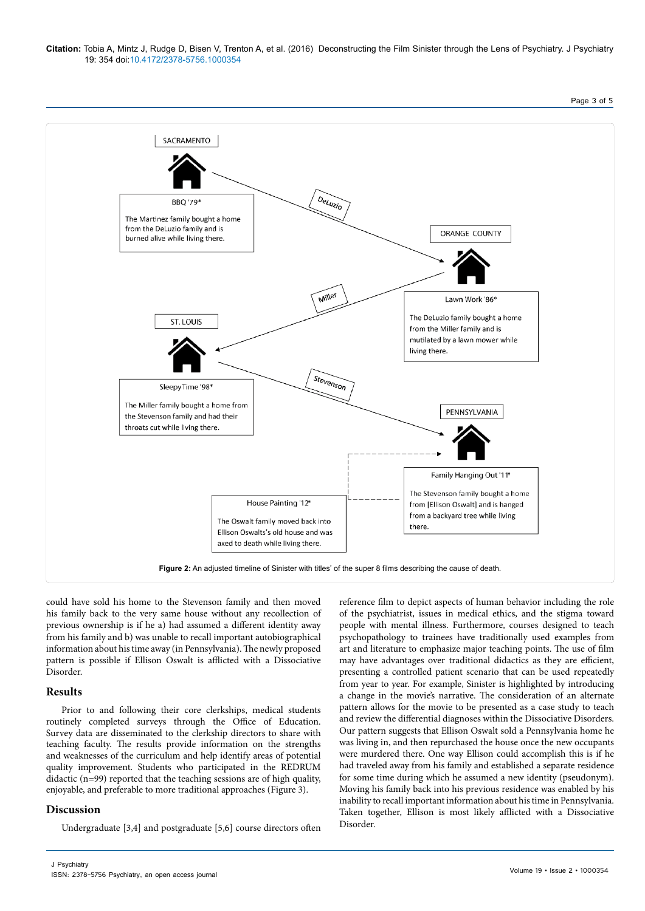**Citation:** Tobia A, Mintz J, Rudge D, Bisen V, Trenton A, et al. (2016) Deconstructing the Film Sinister through the Lens of Psychiatry. J Psychiatry 19: 354 doi:[10.4172/2378-5756.100035](http://dx.doi.org/10.4172/2378-5756.1000354)4





could have sold his home to the Stevenson family and then moved his family back to the very same house without any recollection of previous ownership is if he a) had assumed a different identity away from his family and b) was unable to recall important autobiographical information about his time away (in Pennsylvania). The newly proposed pattern is possible if Ellison Oswalt is afflicted with a Dissociative Disorder.

# **Results**

Prior to and following their core clerkships, medical students routinely completed surveys through the Office of Education. Survey data are disseminated to the clerkship directors to share with teaching faculty. The results provide information on the strengths and weaknesses of the curriculum and help identify areas of potential quality improvement. Students who participated in the REDRUM didactic (n=99) reported that the teaching sessions are of high quality, enjoyable, and preferable to more traditional approaches (Figure 3).

# **Discussion**

Undergraduate [3,4] and postgraduate [5,6] course directors often

reference film to depict aspects of human behavior including the role of the psychiatrist, issues in medical ethics, and the stigma toward people with mental illness. Furthermore, courses designed to teach psychopathology to trainees have traditionally used examples from art and literature to emphasize major teaching points. The use of film may have advantages over traditional didactics as they are efficient, presenting a controlled patient scenario that can be used repeatedly from year to year. For example, Sinister is highlighted by introducing a change in the movie's narrative. The consideration of an alternate pattern allows for the movie to be presented as a case study to teach and review the differential diagnoses within the Dissociative Disorders. Our pattern suggests that Ellison Oswalt sold a Pennsylvania home he was living in, and then repurchased the house once the new occupants were murdered there. One way Ellison could accomplish this is if he had traveled away from his family and established a separate residence for some time during which he assumed a new identity (pseudonym). Moving his family back into his previous residence was enabled by his inability to recall important information about his time in Pennsylvania. Taken together, Ellison is most likely afflicted with a Dissociative Disorder.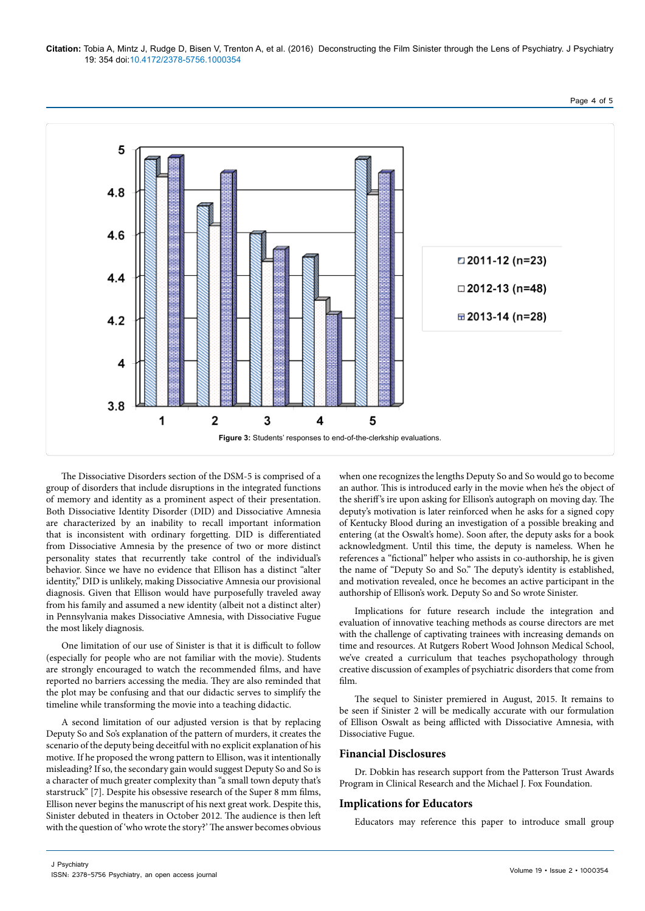

The Dissociative Disorders section of the DSM-5 is comprised of a group of disorders that include disruptions in the integrated functions of memory and identity as a prominent aspect of their presentation. Both Dissociative Identity Disorder (DID) and Dissociative Amnesia are characterized by an inability to recall important information that is inconsistent with ordinary forgetting. DID is differentiated from Dissociative Amnesia by the presence of two or more distinct personality states that recurrently take control of the individual's behavior. Since we have no evidence that Ellison has a distinct "alter identity," DID is unlikely, making Dissociative Amnesia our provisional diagnosis. Given that Ellison would have purposefully traveled away from his family and assumed a new identity (albeit not a distinct alter) in Pennsylvania makes Dissociative Amnesia, with Dissociative Fugue the most likely diagnosis.

One limitation of our use of Sinister is that it is difficult to follow (especially for people who are not familiar with the movie). Students are strongly encouraged to watch the recommended films, and have reported no barriers accessing the media. They are also reminded that the plot may be confusing and that our didactic serves to simplify the timeline while transforming the movie into a teaching didactic.

A second limitation of our adjusted version is that by replacing Deputy So and So's explanation of the pattern of murders, it creates the scenario of the deputy being deceitful with no explicit explanation of his motive. If he proposed the wrong pattern to Ellison, was it intentionally misleading? If so, the secondary gain would suggest Deputy So and So is a character of much greater complexity than "a small town deputy that's starstruck" [7]. Despite his obsessive research of the Super 8 mm films, Ellison never begins the manuscript of his next great work. Despite this, Sinister debuted in theaters in October 2012. The audience is then left with the question of 'who wrote the story?' The answer becomes obvious

J Psychiatry

ISSN: 2378-5756 Psychiatry, an open access journal

when one recognizes the lengths Deputy So and So would go to become an author. This is introduced early in the movie when he's the object of the sheriff 's ire upon asking for Ellison's autograph on moving day. The deputy's motivation is later reinforced when he asks for a signed copy of Kentucky Blood during an investigation of a possible breaking and entering (at the Oswalt's home). Soon after, the deputy asks for a book acknowledgment. Until this time, the deputy is nameless. When he references a "fictional" helper who assists in co-authorship, he is given the name of "Deputy So and So." The deputy's identity is established, and motivation revealed, once he becomes an active participant in the authorship of Ellison's work. Deputy So and So wrote Sinister.

Implications for future research include the integration and evaluation of innovative teaching methods as course directors are met with the challenge of captivating trainees with increasing demands on time and resources. At Rutgers Robert Wood Johnson Medical School, we've created a curriculum that teaches psychopathology through creative discussion of examples of psychiatric disorders that come from film.

The sequel to Sinister premiered in August, 2015. It remains to be seen if Sinister 2 will be medically accurate with our formulation of Ellison Oswalt as being afflicted with Dissociative Amnesia, with Dissociative Fugue.

# **Financial Disclosures**

Dr. Dobkin has research support from the Patterson Trust Awards Program in Clinical Research and the Michael J. Fox Foundation.

## **Implications for Educators**

Educators may reference this paper to introduce small group

Page 4 of 5